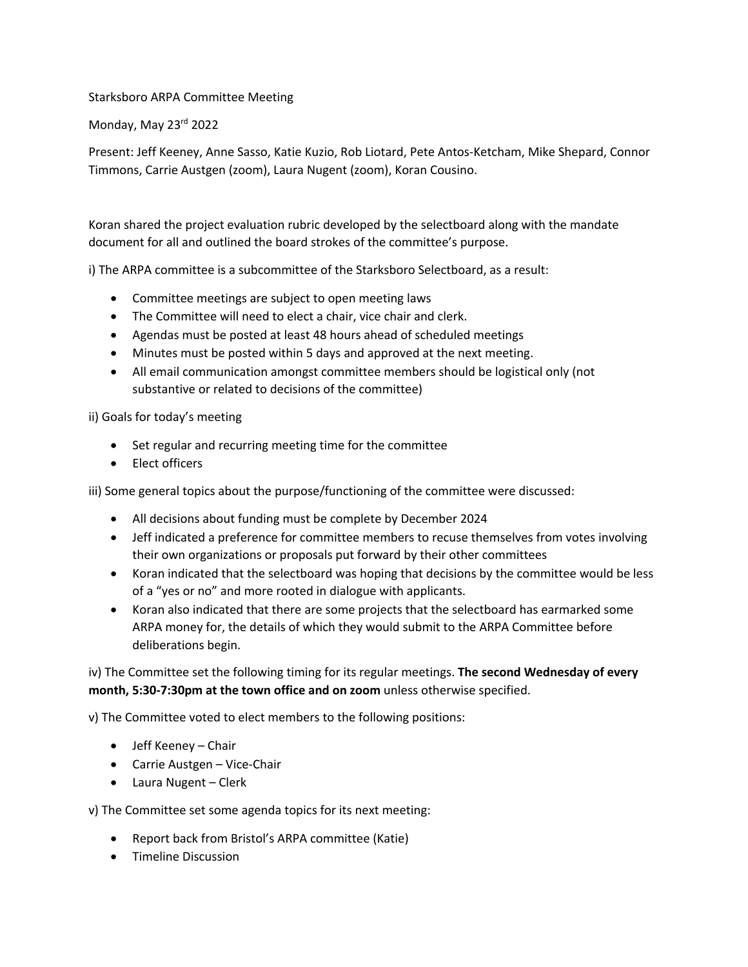## Starksboro ARPA Committee Meeting

Monday, May 23rd 2022

Present: Jeff Keeney, Anne Sasso, Katie Kuzio, Rob Liotard, Pete Antos-Ketcham, Mike Shepard, Connor Timmons, Carrie Austgen (zoom), Laura Nugent (zoom), Koran Cousino.

Koran shared the project evaluation rubric developed by the selectboard along with the mandate document for all and outlined the board strokes of the committee's purpose.

i) The ARPA committee is a subcommittee of the Starksboro Selectboard, as a result:

- Committee meetings are subject to open meeting laws
- The Committee will need to elect a chair, vice chair and clerk.
- Agendas must be posted at least 48 hours ahead of scheduled meetings
- Minutes must be posted within 5 days and approved at the next meeting.
- All email communication amongst committee members should be logistical only (not substantive or related to decisions of the committee)

ii) Goals for today's meeting

- Set regular and recurring meeting time for the committee
- Elect officers

iii) Some general topics about the purpose/functioning of the committee were discussed:

- All decisions about funding must be complete by December 2024
- Jeff indicated a preference for committee members to recuse themselves from votes involving their own organizations or proposals put forward by their other committees
- Koran indicated that the selectboard was hoping that decisions by the committee would be less of a "yes or no" and more rooted in dialogue with applicants.
- Koran also indicated that there are some projects that the selectboard has earmarked some ARPA money for, the details of which they would submit to the ARPA Committee before deliberations begin.

iv) The Committee set the following timing for its regular meetings. **The second Wednesday of every month, 5:30-7:30pm at the town office and on zoom** unless otherwise specified.

v) The Committee voted to elect members to the following positions:

- Jeff Keeney Chair
- Carrie Austgen Vice-Chair
- Laura Nugent Clerk

v) The Committee set some agenda topics for its next meeting:

- Report back from Bristol's ARPA committee (Katie)
- Timeline Discussion